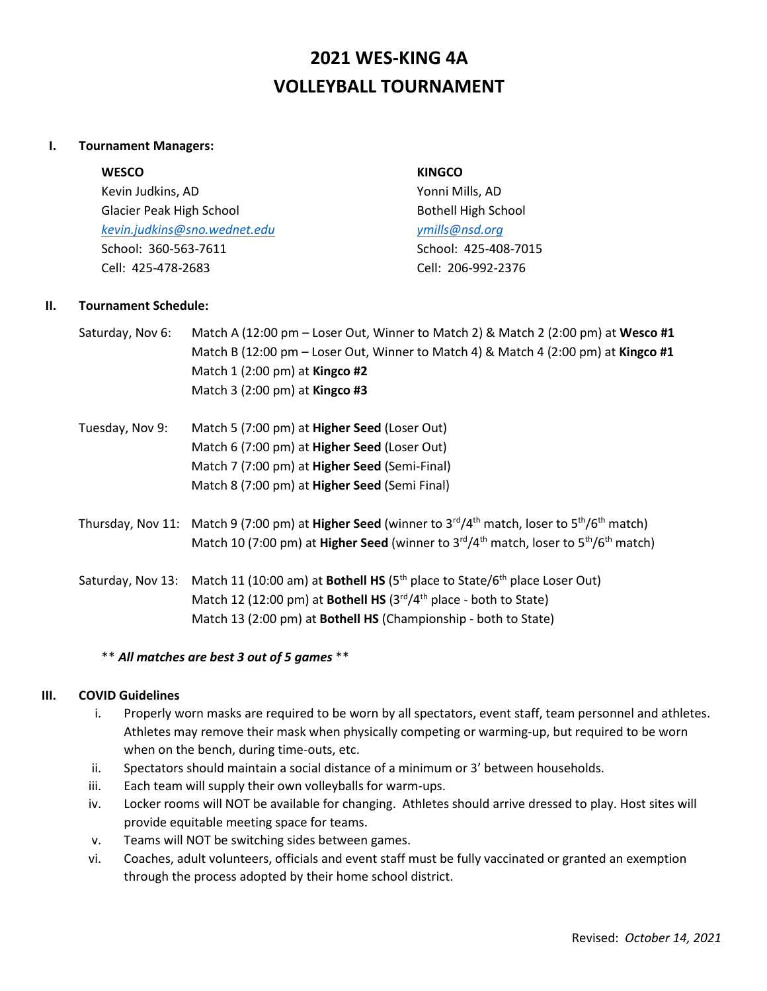# **2021 WES-KING 4A VOLLEYBALL TOURNAMENT**

#### **I. Tournament Managers:**

Kevin Judkins, AD Yonni Mills, AD Glacier Peak High School **Bothell High School** Bothell High School *[kevin.judkins@sno.wednet.edu](mailto:kevin.judkins@sno.wednet.edu) [ymills@nsd.org](mailto:ymills@nsd.org)* School: 360-563-7611 School: 425-408-7015 Cell: 425-478-2683 Cell: 206-992-2376

#### **WESCO KINGCO**

#### **II. Tournament Schedule:**

- Saturday, Nov 6: Match A (12:00 pm Loser Out, Winner to Match 2) & Match 2 (2:00 pm) at **Wesco #1** Match B (12:00 pm – Loser Out, Winner to Match 4) & Match 4 (2:00 pm) at **Kingco #1** Match 1 (2:00 pm) at **Kingco #2** Match 3 (2:00 pm) at **Kingco #3**
- Tuesday, Nov 9: Match 5 (7:00 pm) at **Higher Seed** (Loser Out) Match 6 (7:00 pm) at **Higher Seed** (Loser Out) Match 7 (7:00 pm) at **Higher Seed** (Semi-Final) Match 8 (7:00 pm) at **Higher Seed** (Semi Final)
- Thursday, Nov 11: Match 9 (7:00 pm) at **Higher Seed** (winner to 3rd/4th match, loser to 5th/6th match) Match 10 (7:00 pm) at **Higher Seed** (winner to 3<sup>rd</sup>/4<sup>th</sup> match, loser to 5<sup>th</sup>/6<sup>th</sup> match)

Saturday, Nov 13: Match 11 (10:00 am) at **Bothell HS** (5th place to State/6th place Loser Out) Match 12 (12:00 pm) at **Bothell HS** (3rd/4th place - both to State) Match 13 (2:00 pm) at **Bothell HS** (Championship - both to State)

#### \*\* *All matches are best 3 out of 5 games* \*\*

#### **III. COVID Guidelines**

- i. Properly worn masks are required to be worn by all spectators, event staff, team personnel and athletes. Athletes may remove their mask when physically competing or warming-up, but required to be worn when on the bench, during time-outs, etc.
- ii. Spectators should maintain a social distance of a minimum or 3' between households.
- iii. Each team will supply their own volleyballs for warm-ups.
- iv. Locker rooms will NOT be available for changing. Athletes should arrive dressed to play. Host sites will provide equitable meeting space for teams.
- v. Teams will NOT be switching sides between games.
- vi. Coaches, adult volunteers, officials and event staff must be fully vaccinated or granted an exemption through the process adopted by their home school district.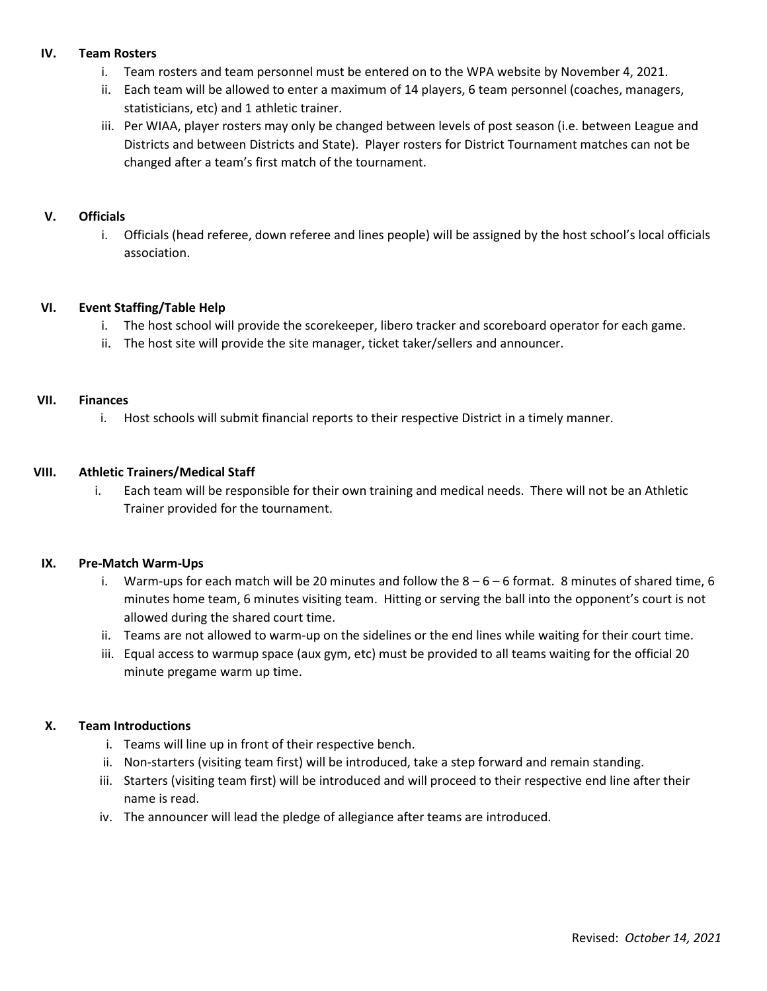#### **IV. Team Rosters**

- i. Team rosters and team personnel must be entered on to the WPA website by November 4, 2021.
- ii. Each team will be allowed to enter a maximum of 14 players, 6 team personnel (coaches, managers, statisticians, etc) and 1 athletic trainer.
- iii. Per WIAA, player rosters may only be changed between levels of post season (i.e. between League and Districts and between Districts and State). Player rosters for District Tournament matches can not be changed after a team's first match of the tournament.

#### **V. Officials**

i. Officials (head referee, down referee and lines people) will be assigned by the host school's local officials association.

#### **VI. Event Staffing/Table Help**

- i. The host school will provide the scorekeeper, libero tracker and scoreboard operator for each game.
- ii. The host site will provide the site manager, ticket taker/sellers and announcer.

#### **VII. Finances**

i. Host schools will submit financial reports to their respective District in a timely manner.

#### **VIII. Athletic Trainers/Medical Staff**

i. Each team will be responsible for their own training and medical needs. There will not be an Athletic Trainer provided for the tournament.

#### **IX. Pre-Match Warm-Ups**

- i. Warm-ups for each match will be 20 minutes and follow the  $8-6-6$  format. 8 minutes of shared time, 6 minutes home team, 6 minutes visiting team. Hitting or serving the ball into the opponent's court is not allowed during the shared court time.
- ii. Teams are not allowed to warm-up on the sidelines or the end lines while waiting for their court time.
- iii. Equal access to warmup space (aux gym, etc) must be provided to all teams waiting for the official 20 minute pregame warm up time.

#### **X. Team Introductions**

- i. Teams will line up in front of their respective bench.
- ii. Non-starters (visiting team first) will be introduced, take a step forward and remain standing.
- iii. Starters (visiting team first) will be introduced and will proceed to their respective end line after their name is read.
- iv. The announcer will lead the pledge of allegiance after teams are introduced.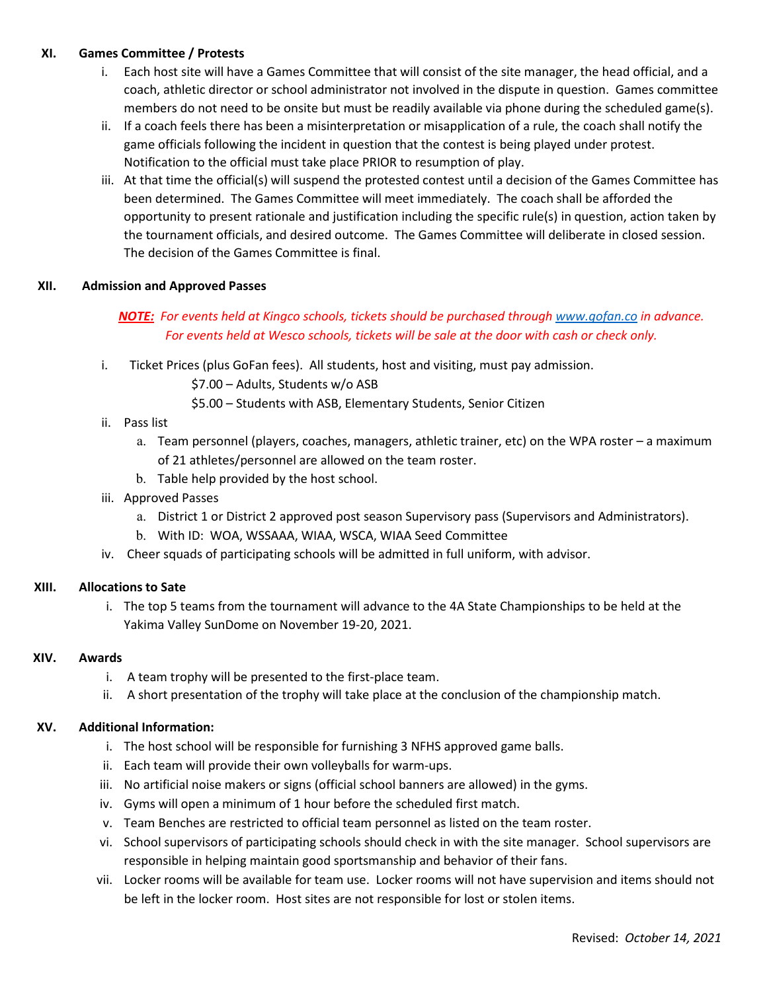#### **XI. Games Committee / Protests**

- i. Each host site will have a Games Committee that will consist of the site manager, the head official, and a coach, athletic director or school administrator not involved in the dispute in question. Games committee members do not need to be onsite but must be readily available via phone during the scheduled game(s).
- ii. If a coach feels there has been a misinterpretation or misapplication of a rule, the coach shall notify the game officials following the incident in question that the contest is being played under protest. Notification to the official must take place PRIOR to resumption of play.
- iii. At that time the official(s) will suspend the protested contest until a decision of the Games Committee has been determined. The Games Committee will meet immediately. The coach shall be afforded the opportunity to present rationale and justification including the specific rule(s) in question, action taken by the tournament officials, and desired outcome. The Games Committee will deliberate in closed session. The decision of the Games Committee is final.

#### **XII. Admission and Approved Passes**

### *NOTE: For events held at Kingco schools, tickets should be purchased throug[h www.gofan.co](http://www.gofan.co/) in advance. For events held at Wesco schools, tickets will be sale at the door with cash or check only.*

- i. Ticket Prices (plus GoFan fees). All students, host and visiting, must pay admission.
	- \$7.00 Adults, Students w/o ASB
	- \$5.00 Students with ASB, Elementary Students, Senior Citizen
- ii. Pass list
	- a. Team personnel (players, coaches, managers, athletic trainer, etc) on the WPA roster a maximum of 21 athletes/personnel are allowed on the team roster.
	- b. Table help provided by the host school.
- iii. Approved Passes
	- a. District 1 or District 2 approved post season Supervisory pass (Supervisors and Administrators).
	- b. With ID: WOA, WSSAAA, WIAA, WSCA, WIAA Seed Committee
- iv. Cheer squads of participating schools will be admitted in full uniform, with advisor.

#### **XIII. Allocations to Sate**

i. The top 5 teams from the tournament will advance to the 4A State Championships to be held at the Yakima Valley SunDome on November 19-20, 2021.

#### **XIV. Awards**

- i. A team trophy will be presented to the first-place team.
- ii. A short presentation of the trophy will take place at the conclusion of the championship match.

#### **XV. Additional Information:**

- i. The host school will be responsible for furnishing 3 NFHS approved game balls.
- ii. Each team will provide their own volleyballs for warm-ups.
- iii. No artificial noise makers or signs (official school banners are allowed) in the gyms.
- iv. Gyms will open a minimum of 1 hour before the scheduled first match.
- v. Team Benches are restricted to official team personnel as listed on the team roster.
- vi. School supervisors of participating schools should check in with the site manager. School supervisors are responsible in helping maintain good sportsmanship and behavior of their fans.
- vii. Locker rooms will be available for team use. Locker rooms will not have supervision and items should not be left in the locker room. Host sites are not responsible for lost or stolen items.